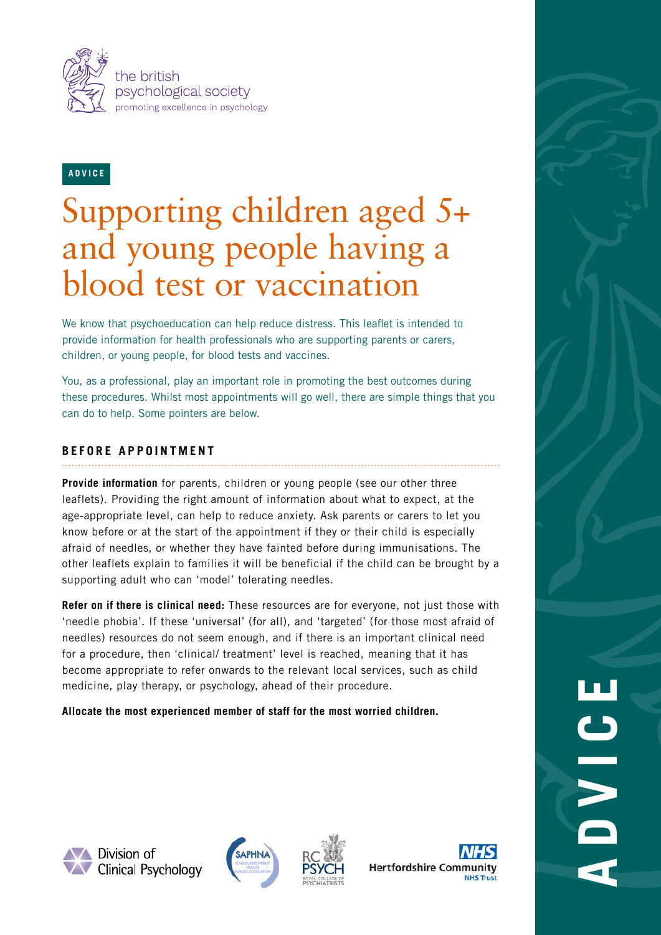

## **ADVICE**

# Supporting children aged 5+ and young people having a blood test or vaccination

We know that psychoeducation can help reduce distress. This leaflet is intended to provide information for health professionals who are supporting parents or carers, children, or young people, for blood tests and vaccines.

You, as a professional, play an important role in promoting the best outcomes during these procedures. Whilst most appointments will go well, there are simple things that you can do to help. Some pointers are below.

## **BEFORE APPOINTMENT**

**Provide information** for parents, children or young people (see our other three leaflets). Providing the right amount of information about what to expect, at the age-appropriate level, can help to reduce anxiety. Ask parents or carers to let you know before or at the start of the appointment if they or their child is especially afraid of needles, or whether they have fainted before during immunisations. The other leaflets explain to families it will be beneficial if the child can be brought by a supporting adult who can 'model' tolerating needles.

**Refer on if there is clinical need:** These resources are for everyone, not just those with 'needle phobia'. If these 'universal' (for all), and 'targeted' (for those most afraid of needles) resources do not seem enough, and if there is an important clinical need for a procedure, then 'clinical/ treatment' level is reached, meaning that it has become appropriate to refer onwards to the relevant local services, such as child medicine, play therapy, or psychology, ahead of their procedure.

**Allocate the most experienced member of staff for the most worried children.**



**N** Division of **XV** Clinical Psychology







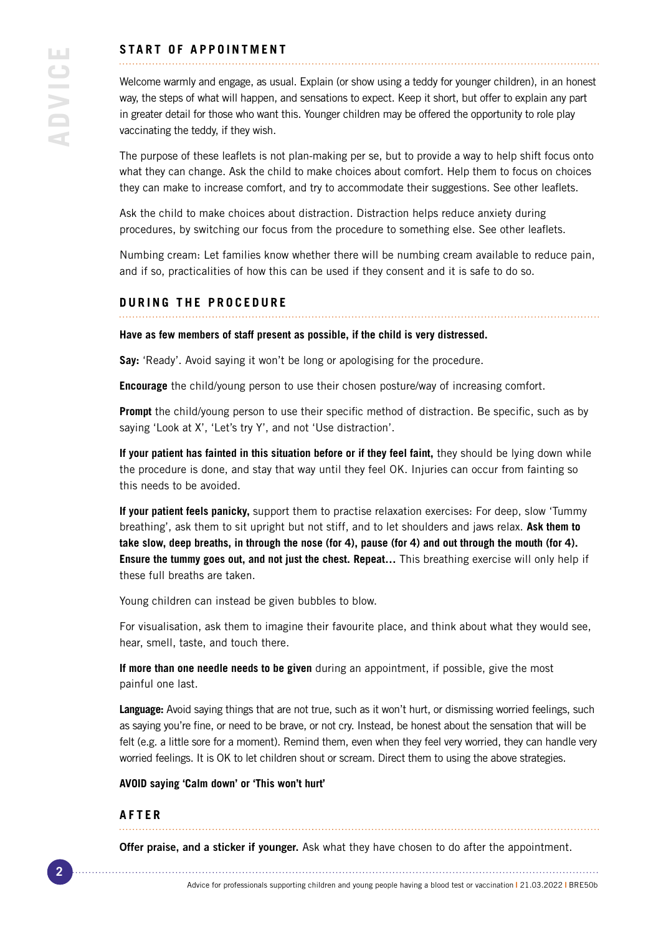## **START OF APPOINTMENT**

Welcome warmly and engage, as usual. Explain (or show using a teddy for younger children), in an honest way, the steps of what will happen, and sensations to expect. Keep it short, but offer to explain any part in greater detail for those who want this. Younger children may be offered the opportunity to role play vaccinating the teddy, if they wish.

The purpose of these leaflets is not plan-making per se, but to provide a way to help shift focus onto what they can change. Ask the child to make choices about comfort. Help them to focus on choices they can make to increase comfort, and try to accommodate their suggestions. See other leaflets.

Ask the child to make choices about distraction. Distraction helps reduce anxiety during procedures, by switching our focus from the procedure to something else. See other leaflets.

Numbing cream: Let families know whether there will be numbing cream available to reduce pain, and if so, practicalities of how this can be used if they consent and it is safe to do so.

## **DURING THE PROCEDURE**

#### **Have as few members of staff present as possible, if the child is very distressed.**

**Say:** 'Ready'. Avoid saying it won't be long or apologising for the procedure.

**Encourage** the child/young person to use their chosen posture/way of increasing comfort.

**Prompt** the child/young person to use their specific method of distraction. Be specific, such as by saying 'Look at X', 'Let's try Y', and not 'Use distraction'.

**If your patient has fainted in this situation before or if they feel faint,** they should be lying down while the procedure is done, and stay that way until they feel OK. Injuries can occur from fainting so this needs to be avoided.

**If your patient feels panicky,** support them to practise relaxation exercises: For deep, slow 'Tummy breathing', ask them to sit upright but not stiff, and to let shoulders and jaws relax. **Ask them to take slow, deep breaths, in through the nose (for 4), pause (for 4) and out through the mouth (for 4). Ensure the tummy goes out, and not just the chest. Repeat…** This breathing exercise will only help if these full breaths are taken.

Young children can instead be given bubbles to blow.

For visualisation, ask them to imagine their favourite place, and think about what they would see, hear, smell, taste, and touch there.

**If more than one needle needs to be given** during an appointment, if possible, give the most painful one last.

**Language:** Avoid saying things that are not true, such as it won't hurt, or dismissing worried feelings, such as saying you're fine, or need to be brave, or not cry. Instead, be honest about the sensation that will be felt (e.g. a little sore for a moment). Remind them, even when they feel very worried, they can handle very worried feelings. It is OK to let children shout or scream. Direct them to using the above strategies.

#### **AVOID saying 'Calm down' or 'This won't hurt'**

#### **AFTER**

**Offer praise, and a sticker if younger.** Ask what they have chosen to do after the appointment.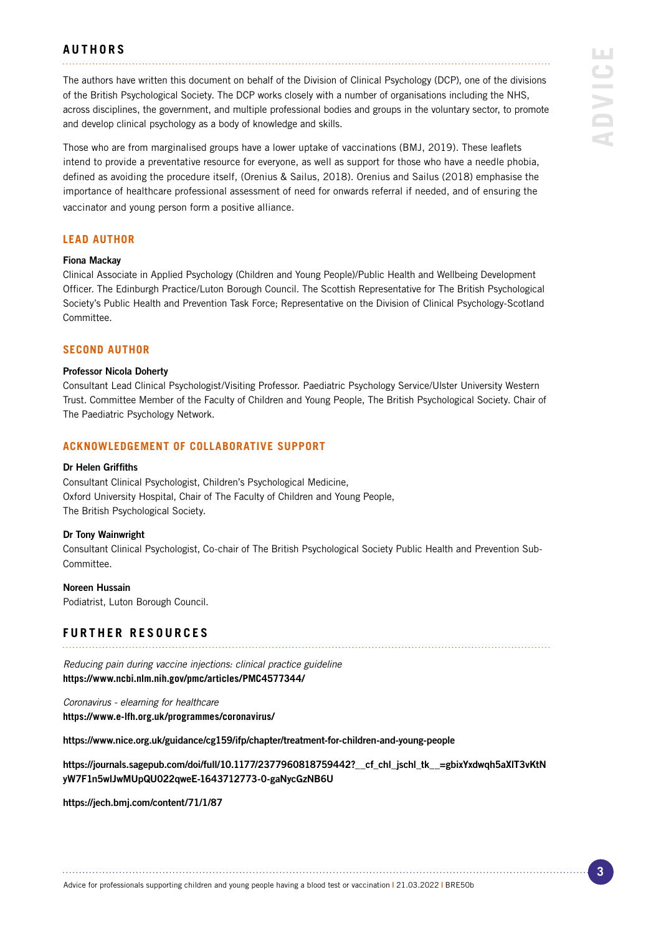### **AUTHORS**

The authors have written this document on behalf of the Division of Clinical Psychology (DCP), one of the divisions of the British Psychological Society. The DCP works closely with a number of organisations including the NHS, across disciplines, the government, and multiple professional bodies and groups in the voluntary sector, to promote and develop clinical psychology as a body of knowledge and skills.

Those who are from marginalised groups have a lower uptake of vaccinations (BMJ, 2019). These leaflets intend to provide a preventative resource for everyone, as well as support for those who have a needle phobia, defined as avoiding the procedure itself, (Orenius & Sailus, 2018). Orenius and Sailus (2018) emphasise the importance of healthcare professional assessment of need for onwards referral if needed, and of ensuring the vaccinator and young person form a positive alliance.

#### **LEAD AUTHOR**

#### Fiona Mackay

Clinical Associate in Applied Psychology (Children and Young People)/Public Health and Wellbeing Development Officer. The Edinburgh Practice/Luton Borough Council. The Scottish Representative for The British Psychological Society's Public Health and Prevention Task Force; Representative on the Division of Clinical Psychology-Scotland Committee.

#### **SECOND AUTHOR**

#### Professor Nicola Doherty

Consultant Lead Clinical Psychologist/Visiting Professor. Paediatric Psychology Service/Ulster University Western Trust. Committee Member of the Faculty of Children and Young People, The British Psychological Society. Chair of The Paediatric Psychology Network.

#### **ACKNOWLEDGEMENT OF COLLABORATIVE SUPPORT**

#### Dr Helen Griffiths

Consultant Clinical Psychologist, Children's Psychological Medicine, Oxford University Hospital, Chair of The Faculty of Children and Young People, The British Psychological Society.

#### Dr Tony Wainwright

Consultant Clinical Psychologist, Co-chair of The British Psychological Society Public Health and Prevention Sub-Committee.

Noreen Hussain Podiatrist, Luton Borough Council.

## **FURTHER RESOURCES**

*Reducing pain during vaccine injections: clinical practice guideline*  **https://www.ncbi.nlm.nih.gov/pmc/articles/PMC4577344/**

*Coronavirus - elearning for healthcare*  **https://www.e-lfh.org.uk/programmes/coronavirus/**

https://www.nice.org.uk/guidance/cg159/ifp/chapter/treatment-for-children-and-young-people

https://journals.sagepub.com/doi/full/10.1177/2377960818759442?\_\_cf\_chl\_jschl\_tk\_\_=gbixYxdwqh5aXlT3vKtN yW7F1n5wlJwMUpQU022qweE-1643712773-0-gaNycGzNB6U

https://jech.bmj.com/content/71/1/87